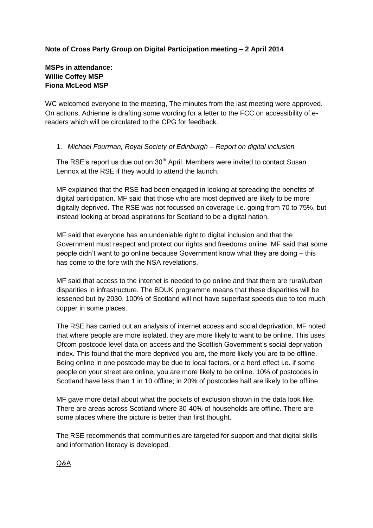# **Note of Cross Party Group on Digital Participation meeting – 2 April 2014**

### **MSPs in attendance: Willie Coffey MSP Fiona McLeod MSP**

WC welcomed everyone to the meeting, The minutes from the last meeting were approved. On actions, Adrienne is drafting some wording for a letter to the FCC on accessibility of ereaders which will be circulated to the CPG for feedback.

### 1. *Michael Fourman, Royal Society of Edinburgh – Report on digital inclusion*

The RSE's report us due out on  $30<sup>th</sup>$  April. Members were invited to contact Susan Lennox at the RSE if they would to attend the launch.

MF explained that the RSE had been engaged in looking at spreading the benefits of digital participation. MF said that those who are most deprived are likely to be more digitally deprived. The RSE was not focussed on coverage i.e. going from 70 to 75%, but instead looking at broad aspirations for Scotland to be a digital nation.

MF said that everyone has an undeniable right to digital inclusion and that the Government must respect and protect our rights and freedoms online. MF said that some people didn't want to go online because Government know what they are doing – this has come to the fore with the NSA revelations.

MF said that access to the internet is needed to go online and that there are rural/urban disparities in infrastructure. The BDUK programme means that these disparities will be lessened but by 2030, 100% of Scotland will not have superfast speeds due to too much copper in some places.

The RSE has carried out an analysis of internet access and social deprivation. MF noted that where people are more isolated, they are more likely to want to be online. This uses Ofcom postcode level data on access and the Scottish Government's social deprivation index. This found that the more deprived you are, the more likely you are to be offline. Being online in one postcode may be due to local factors, or a herd effect i.e. if some people on your street are online, you are more likely to be online. 10% of postcodes in Scotland have less than 1 in 10 offline; in 20% of postcodes half are likely to be offline.

MF gave more detail about what the pockets of exclusion shown in the data look like. There are areas across Scotland where 30-40% of households are offline. There are some places where the picture is better than first thought.

The RSE recommends that communities are targeted for support and that digital skills and information literacy is developed.

Q&A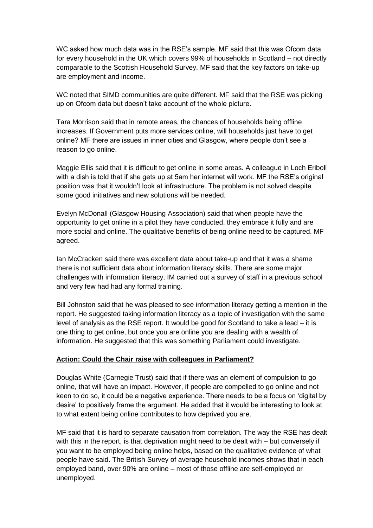WC asked how much data was in the RSE's sample. MF said that this was Ofcom data for every household in the UK which covers 99% of households in Scotland – not directly comparable to the Scottish Household Survey. MF said that the key factors on take-up are employment and income.

WC noted that SIMD communities are quite different. MF said that the RSE was picking up on Ofcom data but doesn't take account of the whole picture.

Tara Morrison said that in remote areas, the chances of households being offline increases. If Government puts more services online, will households just have to get online? MF there are issues in inner cities and Glasgow, where people don't see a reason to go online.

Maggie Ellis said that it is difficult to get online in some areas. A colleague in Loch Eriboll with a dish is told that if she gets up at 5am her internet will work. MF the RSE's original position was that it wouldn't look at infrastructure. The problem is not solved despite some good initiatives and new solutions will be needed.

Evelyn McDonall (Glasgow Housing Association) said that when people have the opportunity to get online in a pilot they have conducted, they embrace it fully and are more social and online. The qualitative benefits of being online need to be captured. MF agreed.

Ian McCracken said there was excellent data about take-up and that it was a shame there is not sufficient data about information literacy skills. There are some major challenges with information literacy, IM carried out a survey of staff in a previous school and very few had had any formal training.

Bill Johnston said that he was pleased to see information literacy getting a mention in the report. He suggested taking information literacy as a topic of investigation with the same level of analysis as the RSE report. It would be good for Scotland to take a lead – it is one thing to get online, but once you are online you are dealing with a wealth of information. He suggested that this was something Parliament could investigate.

#### **Action: Could the Chair raise with colleagues in Parliament?**

Douglas White (Carnegie Trust) said that if there was an element of compulsion to go online, that will have an impact. However, if people are compelled to go online and not keen to do so, it could be a negative experience. There needs to be a focus on 'digital by desire' to positively frame the argument. He added that it would be interesting to look at to what extent being online contributes to how deprived you are.

MF said that it is hard to separate causation from correlation. The way the RSE has dealt with this in the report, is that deprivation might need to be dealt with – but conversely if you want to be employed being online helps, based on the qualitative evidence of what people have said. The British Survey of average household incomes shows that in each employed band, over 90% are online – most of those offline are self-employed or unemployed.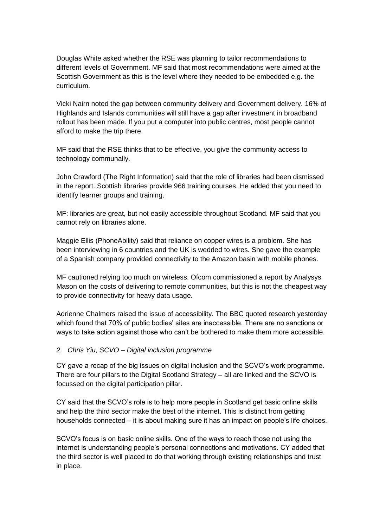Douglas White asked whether the RSE was planning to tailor recommendations to different levels of Government. MF said that most recommendations were aimed at the Scottish Government as this is the level where they needed to be embedded e.g. the curriculum.

Vicki Nairn noted the gap between community delivery and Government delivery. 16% of Highlands and Islands communities will still have a gap after investment in broadband rollout has been made. If you put a computer into public centres, most people cannot afford to make the trip there.

MF said that the RSE thinks that to be effective, you give the community access to technology communally.

John Crawford (The Right Information) said that the role of libraries had been dismissed in the report. Scottish libraries provide 966 training courses. He added that you need to identify learner groups and training.

MF: libraries are great, but not easily accessible throughout Scotland. MF said that you cannot rely on libraries alone.

Maggie Ellis (PhoneAbility) said that reliance on copper wires is a problem. She has been interviewing in 6 countries and the UK is wedded to wires. She gave the example of a Spanish company provided connectivity to the Amazon basin with mobile phones.

MF cautioned relying too much on wireless. Ofcom commissioned a report by Analysys Mason on the costs of delivering to remote communities, but this is not the cheapest way to provide connectivity for heavy data usage.

Adrienne Chalmers raised the issue of accessibility. The BBC quoted research yesterday which found that 70% of public bodies' sites are inaccessible. There are no sanctions or ways to take action against those who can't be bothered to make them more accessible.

#### *2. Chris Yiu, SCVO – Digital inclusion programme*

CY gave a recap of the big issues on digital inclusion and the SCVO's work programme. There are four pillars to the Digital Scotland Strategy – all are linked and the SCVO is focussed on the digital participation pillar.

CY said that the SCVO's role is to help more people in Scotland get basic online skills and help the third sector make the best of the internet. This is distinct from getting households connected – it is about making sure it has an impact on people's life choices.

SCVO's focus is on basic online skills. One of the ways to reach those not using the internet is understanding people's personal connections and motivations. CY added that the third sector is well placed to do that working through existing relationships and trust in place.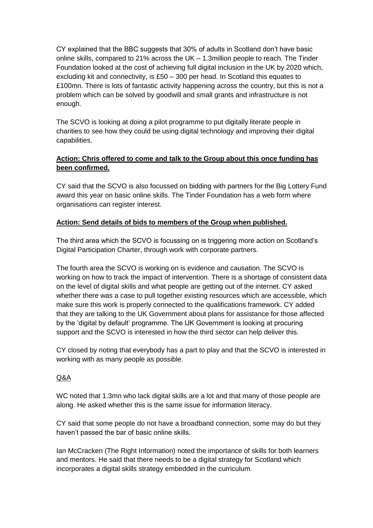CY explained that the BBC suggests that 30% of adults in Scotland don't have basic online skills, compared to 21% across the UK – 1.3million people to reach. The Tinder Foundation looked at the cost of achieving full digital inclusion in the UK by 2020 which, excluding kit and connectivity, is £50 – 300 per head. In Scotland this equates to £100mn. There is lots of fantastic activity happening across the country, but this is not a problem which can be solved by goodwill and small grants and infrastructure is not enough.

The SCVO is looking at doing a pilot programme to put digitally literate people in charities to see how they could be using digital technology and improving their digital capabilities.

# **Action: Chris offered to come and talk to the Group about this once funding has been confirmed.**

CY said that the SCVO is also focussed on bidding with partners for the Big Lottery Fund award this year on basic online skills. The Tinder Foundation has a web form where organisations can register interest.

# **Action: Send details of bids to members of the Group when published.**

The third area which the SCVO is focussing on is triggering more action on Scotland's Digital Participation Charter, through work with corporate partners.

The fourth area the SCVO is working on is evidence and causation. The SCVO is working on how to track the impact of intervention. There is a shortage of consistent data on the level of digital skills and what people are getting out of the internet. CY asked whether there was a case to pull together existing resources which are accessible, which make sure this work is properly connected to the qualifications framework. CY added that they are talking to the UK Government about plans for assistance for those affected by the 'digital by default' programme. The UK Government is looking at procuring support and the SCVO is interested in how the third sector can help deliver this.

CY closed by noting that everybody has a part to play and that the SCVO is interested in working with as many people as possible.

# Q&A

WC noted that 1.3mn who lack digital skills are a lot and that many of those people are along. He asked whether this is the same issue for information literacy.

CY said that some people do not have a broadband connection, some may do but they haven't passed the bar of basic online skills.

Ian McCracken (The Right Information) noted the importance of skills for both learners and mentors. He said that there needs to be a digital strategy for Scotland which incorporates a digital skills strategy embedded in the curriculum.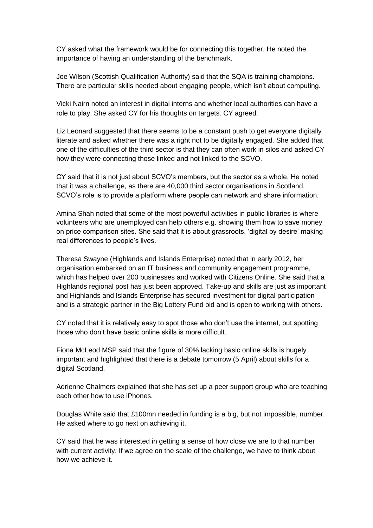CY asked what the framework would be for connecting this together. He noted the importance of having an understanding of the benchmark.

Joe Wilson (Scottish Qualification Authority) said that the SQA is training champions. There are particular skills needed about engaging people, which isn't about computing.

Vicki Nairn noted an interest in digital interns and whether local authorities can have a role to play. She asked CY for his thoughts on targets. CY agreed.

Liz Leonard suggested that there seems to be a constant push to get everyone digitally literate and asked whether there was a right not to be digitally engaged. She added that one of the difficulties of the third sector is that they can often work in silos and asked CY how they were connecting those linked and not linked to the SCVO.

CY said that it is not just about SCVO's members, but the sector as a whole. He noted that it was a challenge, as there are 40,000 third sector organisations in Scotland. SCVO's role is to provide a platform where people can network and share information.

Amina Shah noted that some of the most powerful activities in public libraries is where volunteers who are unemployed can help others e.g. showing them how to save money on price comparison sites. She said that it is about grassroots, 'digital by desire' making real differences to people's lives.

Theresa Swayne (Highlands and Islands Enterprise) noted that in early 2012, her organisation embarked on an IT business and community engagement programme, which has helped over 200 businesses and worked with Citizens Online. She said that a Highlands regional post has just been approved. Take-up and skills are just as important and Highlands and Islands Enterprise has secured investment for digital participation and is a strategic partner in the Big Lottery Fund bid and is open to working with others.

CY noted that it is relatively easy to spot those who don't use the internet, but spotting those who don't have basic online skills is more difficult.

Fiona McLeod MSP said that the figure of 30% lacking basic online skills is hugely important and highlighted that there is a debate tomorrow (5 April) about skills for a digital Scotland.

Adrienne Chalmers explained that she has set up a peer support group who are teaching each other how to use iPhones.

Douglas White said that £100mn needed in funding is a big, but not impossible, number. He asked where to go next on achieving it.

CY said that he was interested in getting a sense of how close we are to that number with current activity. If we agree on the scale of the challenge, we have to think about how we achieve it.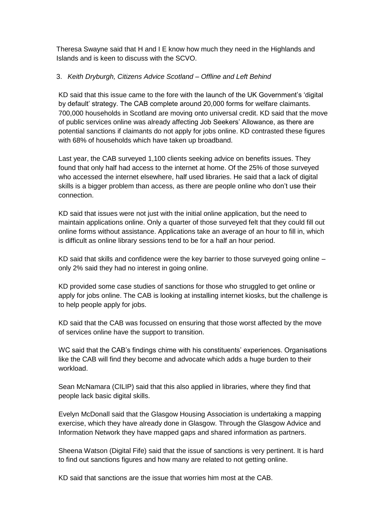Theresa Swayne said that H and I E know how much they need in the Highlands and Islands and is keen to discuss with the SCVO.

### 3. *Keith Dryburgh, Citizens Advice Scotland – Offline and Left Behind*

KD said that this issue came to the fore with the launch of the UK Government's 'digital by default' strategy. The CAB complete around 20,000 forms for welfare claimants. 700,000 households in Scotland are moving onto universal credit. KD said that the move of public services online was already affecting Job Seekers' Allowance, as there are potential sanctions if claimants do not apply for jobs online. KD contrasted these figures with 68% of households which have taken up broadband.

Last year, the CAB surveyed 1,100 clients seeking advice on benefits issues. They found that only half had access to the internet at home. Of the 25% of those surveyed who accessed the internet elsewhere, half used libraries. He said that a lack of digital skills is a bigger problem than access, as there are people online who don't use their connection.

KD said that issues were not just with the initial online application, but the need to maintain applications online. Only a quarter of those surveyed felt that they could fill out online forms without assistance. Applications take an average of an hour to fill in, which is difficult as online library sessions tend to be for a half an hour period.

KD said that skills and confidence were the key barrier to those surveyed going online – only 2% said they had no interest in going online.

KD provided some case studies of sanctions for those who struggled to get online or apply for jobs online. The CAB is looking at installing internet kiosks, but the challenge is to help people apply for jobs.

KD said that the CAB was focussed on ensuring that those worst affected by the move of services online have the support to transition.

WC said that the CAB's findings chime with his constituents' experiences. Organisations like the CAB will find they become and advocate which adds a huge burden to their workload.

Sean McNamara (CILIP) said that this also applied in libraries, where they find that people lack basic digital skills.

Evelyn McDonall said that the Glasgow Housing Association is undertaking a mapping exercise, which they have already done in Glasgow. Through the Glasgow Advice and Information Network they have mapped gaps and shared information as partners.

Sheena Watson (Digital Fife) said that the issue of sanctions is very pertinent. It is hard to find out sanctions figures and how many are related to not getting online.

KD said that sanctions are the issue that worries him most at the CAB.